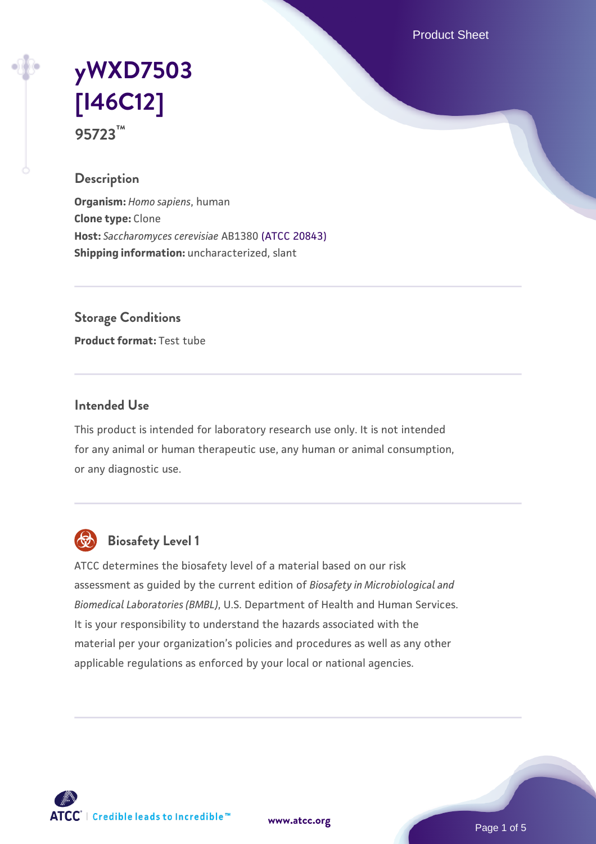Product Sheet

# **[yWXD7503](https://www.atcc.org/products/95723) [\[I46C12\]](https://www.atcc.org/products/95723) 95723™**

#### **Description**

**Organism:** *Homo sapiens*, human **Clone type:** Clone **Host:** *Saccharomyces cerevisiae* AB1380 [\(ATCC 20843\)](https://www.atcc.org/products/20843) **Shipping information:** uncharacterized, slant

**Storage Conditions**

**Product format:** Test tube

#### **Intended Use**

This product is intended for laboratory research use only. It is not intended for any animal or human therapeutic use, any human or animal consumption, or any diagnostic use.



# **Biosafety Level 1**

ATCC determines the biosafety level of a material based on our risk assessment as guided by the current edition of *Biosafety in Microbiological and Biomedical Laboratories (BMBL)*, U.S. Department of Health and Human Services. It is your responsibility to understand the hazards associated with the material per your organization's policies and procedures as well as any other applicable regulations as enforced by your local or national agencies.

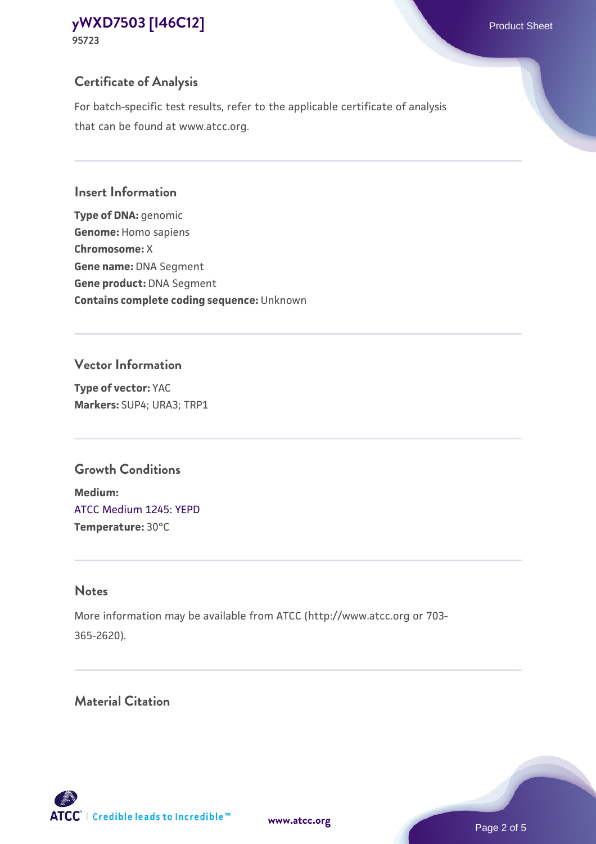**95723**

## **Certificate of Analysis**

For batch-specific test results, refer to the applicable certificate of analysis that can be found at www.atcc.org.

#### **Insert Information**

**Type of DNA:** genomic **Genome:** Homo sapiens **Chromosome:** X **Gene name:** DNA Segment **Gene product:** DNA Segment **Contains complete coding sequence:** Unknown

#### **Vector Information**

**Type of vector:** YAC **Markers:** SUP4; URA3; TRP1

## **Growth Conditions**

**Medium:**  [ATCC Medium 1245: YEPD](https://www.atcc.org/-/media/product-assets/documents/microbial-media-formulations/1/2/4/5/atcc-medium-1245.pdf?rev=705ca55d1b6f490a808a965d5c072196) **Temperature:** 30°C

# **Notes**

More information may be available from ATCC (http://www.atcc.org or 703- 365-2620).

# **Material Citation**

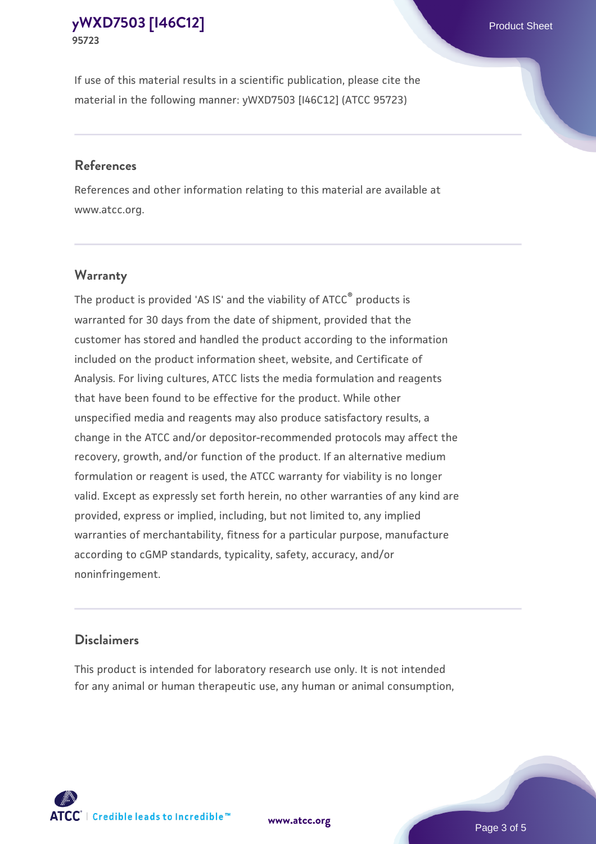If use of this material results in a scientific publication, please cite the material in the following manner: yWXD7503 [I46C12] (ATCC 95723)

#### **References**

References and other information relating to this material are available at www.atcc.org.

### **Warranty**

The product is provided 'AS IS' and the viability of  $ATCC<sup>®</sup>$  products is warranted for 30 days from the date of shipment, provided that the customer has stored and handled the product according to the information included on the product information sheet, website, and Certificate of Analysis. For living cultures, ATCC lists the media formulation and reagents that have been found to be effective for the product. While other unspecified media and reagents may also produce satisfactory results, a change in the ATCC and/or depositor-recommended protocols may affect the recovery, growth, and/or function of the product. If an alternative medium formulation or reagent is used, the ATCC warranty for viability is no longer valid. Except as expressly set forth herein, no other warranties of any kind are provided, express or implied, including, but not limited to, any implied warranties of merchantability, fitness for a particular purpose, manufacture according to cGMP standards, typicality, safety, accuracy, and/or noninfringement.

#### **Disclaimers**

This product is intended for laboratory research use only. It is not intended for any animal or human therapeutic use, any human or animal consumption,

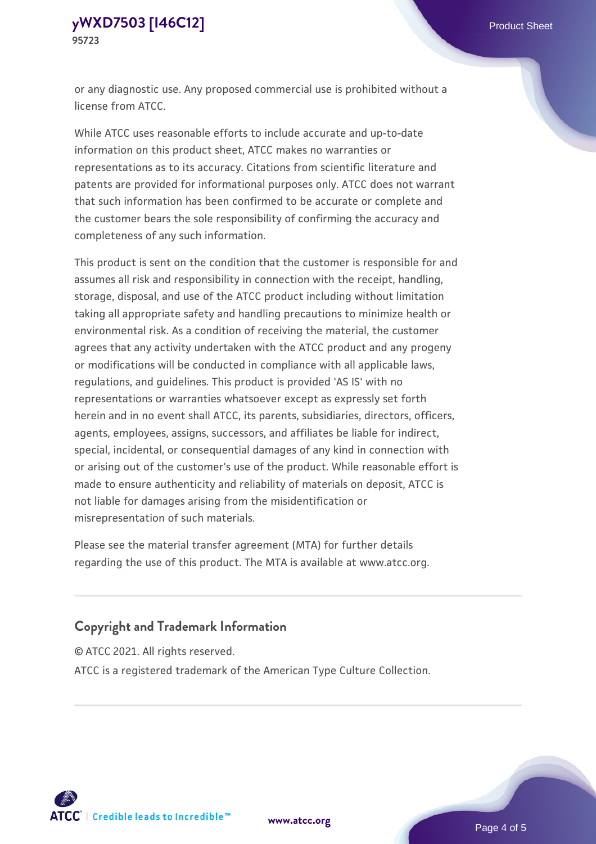or any diagnostic use. Any proposed commercial use is prohibited without a license from ATCC.

While ATCC uses reasonable efforts to include accurate and up-to-date information on this product sheet, ATCC makes no warranties or representations as to its accuracy. Citations from scientific literature and patents are provided for informational purposes only. ATCC does not warrant that such information has been confirmed to be accurate or complete and the customer bears the sole responsibility of confirming the accuracy and completeness of any such information.

This product is sent on the condition that the customer is responsible for and assumes all risk and responsibility in connection with the receipt, handling, storage, disposal, and use of the ATCC product including without limitation taking all appropriate safety and handling precautions to minimize health or environmental risk. As a condition of receiving the material, the customer agrees that any activity undertaken with the ATCC product and any progeny or modifications will be conducted in compliance with all applicable laws, regulations, and guidelines. This product is provided 'AS IS' with no representations or warranties whatsoever except as expressly set forth herein and in no event shall ATCC, its parents, subsidiaries, directors, officers, agents, employees, assigns, successors, and affiliates be liable for indirect, special, incidental, or consequential damages of any kind in connection with or arising out of the customer's use of the product. While reasonable effort is made to ensure authenticity and reliability of materials on deposit, ATCC is not liable for damages arising from the misidentification or misrepresentation of such materials.

Please see the material transfer agreement (MTA) for further details regarding the use of this product. The MTA is available at www.atcc.org.

### **Copyright and Trademark Information**

© ATCC 2021. All rights reserved.

ATCC is a registered trademark of the American Type Culture Collection.



**[www.atcc.org](http://www.atcc.org)**

Page 4 of 5